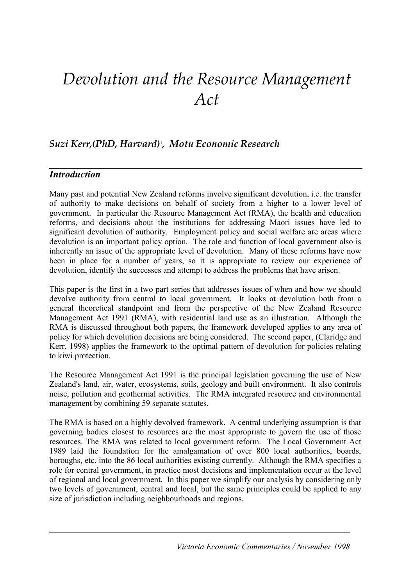# *Devolution and the Resource Management Act*

# *Suzi Kerr,(PhD, Harvard)*<sup>1</sup> *, Motu Economic Research*

# *Introduction*

Many past and potential New Zealand reforms involve significant devolution, i.e. the transfer of authority to make decisions on behalf of society from a higher to a lower level of government. In particular the Resource Management Act (RMA), the health and education reforms, and decisions about the institutions for addressing Maori issues have led to significant devolution of authority. Employment policy and social welfare are areas where devolution is an important policy option. The role and function of local government also is inherently an issue of the appropriate level of devolution. Many of these reforms have now been in place for a number of years, so it is appropriate to review our experience of devolution, identify the successes and attempt to address the problems that have arisen.

This paper is the first in a two part series that addresses issues of when and how we should devolve authority from central to local government. It looks at devolution both from a general theoretical standpoint and from the perspective of the New Zealand Resource Management Act 1991 (RMA), with residential land use as an illustration. Although the RMA is discussed throughout both papers, the framework developed applies to any area of policy for which devolution decisions are being considered. The second paper, (Claridge and Kerr, 1998) applies the framework to the optimal pattern of devolution for policies relating to kiwi protection.

The Resource Management Act 1991 is the principal legislation governing the use of New Zealand's land, air, water, ecosystems, soils, geology and built environment. It also controls noise, pollution and geothermal activities. The RMA integrated resource and environmental management by combining 59 separate statutes.

The RMA is based on a highly devolved framework. A central underlying assumption is that governing bodies closest to resources are the most appropriate to govern the use of those resources. The RMA was related to local government reform. The Local Government Act 1989 laid the foundation for the amalgamation of over 800 local authorities, boards, boroughs, etc. into the 86 local authorities existing currently. Although the RMA specifies a role for central government, in practice most decisions and implementation occur at the level of regional and local government. In this paper we simplify our analysis by considering only two levels of government, central and local, but the same principles could be applied to any size of jurisdiction including neighbourhoods and regions.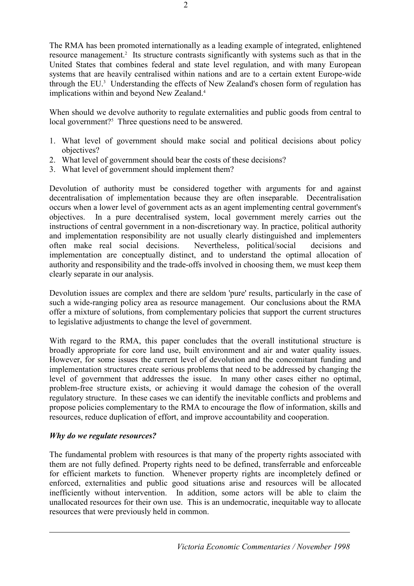The RMA has been promoted internationally as a leading example of integrated, enlightened resource management.<sup>2</sup> Its structure contrasts significantly with systems such as that in the United States that combines federal and state level regulation, and with many European systems that are heavily centralised within nations and are to a certain extent Europe-wide through the EU.<sup>3</sup> Understanding the effects of New Zealand's chosen form of regulation has implications within and beyond New Zealand.<sup>4</sup>

When should we devolve authority to regulate externalities and public goods from central to local government?<sup>5</sup> Three questions need to be answered.

- 1. What level of government should make social and political decisions about policy objectives?
- 2. What level of government should bear the costs of these decisions?
- 3. What level of government should implement them?

Devolution of authority must be considered together with arguments for and against decentralisation of implementation because they are often inseparable. Decentralisation occurs when a lower level of government acts as an agent implementing central government's objectives. In a pure decentralised system, local government merely carries out the instructions of central government in a non-discretionary way. In practice, political authority and implementation responsibility are not usually clearly distinguished and implementers often make real social decisions. Nevertheless, political/social decisions and implementation are conceptually distinct, and to understand the optimal allocation of authority and responsibility and the trade-offs involved in choosing them, we must keep them clearly separate in our analysis.

Devolution issues are complex and there are seldom 'pure' results, particularly in the case of such a wide-ranging policy area as resource management. Our conclusions about the RMA offer a mixture of solutions, from complementary policies that support the current structures to legislative adjustments to change the level of government.

With regard to the RMA, this paper concludes that the overall institutional structure is broadly appropriate for core land use, built environment and air and water quality issues. However, for some issues the current level of devolution and the concomitant funding and implementation structures create serious problems that need to be addressed by changing the level of government that addresses the issue. In many other cases either no optimal, problem-free structure exists, or achieving it would damage the cohesion of the overall regulatory structure. In these cases we can identify the inevitable conflicts and problems and propose policies complementary to the RMA to encourage the flow of information, skills and resources, reduce duplication of effort, and improve accountability and cooperation.

# *Why do we regulate resources?*

The fundamental problem with resources is that many of the property rights associated with them are not fully defined. Property rights need to be defined, transferrable and enforceable for efficient markets to function. Whenever property rights are incompletely defined or enforced, externalities and public good situations arise and resources will be allocated inefficiently without intervention. In addition, some actors will be able to claim the unallocated resources for their own use. This is an undemocratic, inequitable way to allocate resources that were previously held in common.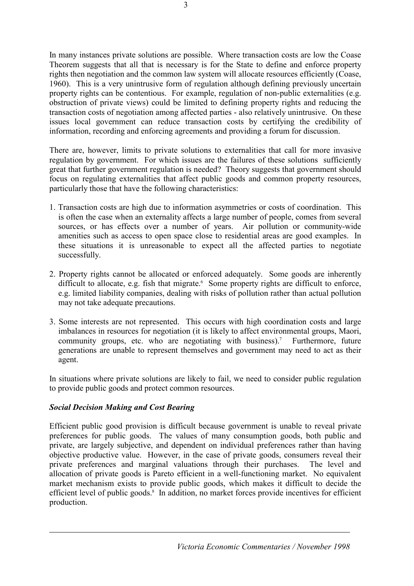In many instances private solutions are possible. Where transaction costs are low the Coase Theorem suggests that all that is necessary is for the State to define and enforce property rights then negotiation and the common law system will allocate resources efficiently (Coase, 1960). This is a very unintrusive form of regulation although defining previously uncertain property rights can be contentious. For example, regulation of non-public externalities (e.g. obstruction of private views) could be limited to defining property rights and reducing the transaction costs of negotiation among affected parties - also relatively unintrusive. On these issues local government can reduce transaction costs by certifying the credibility of information, recording and enforcing agreements and providing a forum for discussion.

There are, however, limits to private solutions to externalities that call for more invasive regulation by government. For which issues are the failures of these solutions sufficiently great that further government regulation is needed? Theory suggests that government should focus on regulating externalities that affect public goods and common property resources, particularly those that have the following characteristics:

- 1. Transaction costs are high due to information asymmetries or costs of coordination. This is often the case when an externality affects a large number of people, comes from several sources, or has effects over a number of years. Air pollution or community-wide amenities such as access to open space close to residential areas are good examples. In these situations it is unreasonable to expect all the affected parties to negotiate successfully.
- 2. Property rights cannot be allocated or enforced adequately. Some goods are inherently difficult to allocate, e.g. fish that migrate.<sup>6</sup> Some property rights are difficult to enforce, e.g. limited liability companies, dealing with risks of pollution rather than actual pollution may not take adequate precautions.
- 3. Some interests are not represented. This occurs with high coordination costs and large imbalances in resources for negotiation (it is likely to affect environmental groups, Maori, community groups, etc. who are negotiating with business).<sup>7</sup> Furthermore, future generations are unable to represent themselves and government may need to act as their agent.

In situations where private solutions are likely to fail, we need to consider public regulation to provide public goods and protect common resources.

# *Social Decision Making and Cost Bearing*

Efficient public good provision is difficult because government is unable to reveal private preferences for public goods. The values of many consumption goods, both public and private, are largely subjective, and dependent on individual preferences rather than having objective productive value. However, in the case of private goods, consumers reveal their private preferences and marginal valuations through their purchases. The level and allocation of private goods is Pareto efficient in a well-functioning market. No equivalent market mechanism exists to provide public goods, which makes it difficult to decide the efficient level of public goods.<sup>8</sup> In addition, no market forces provide incentives for efficient production.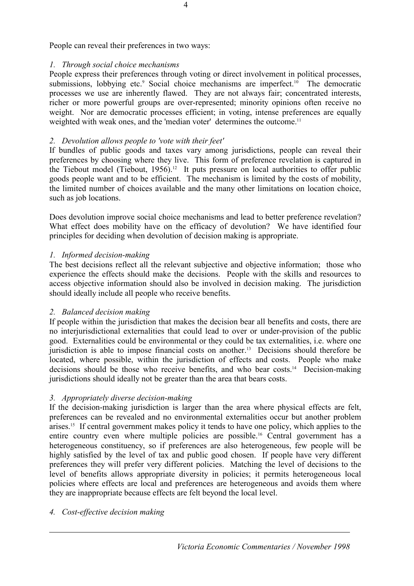People can reveal their preferences in two ways:

# *1. Through social choice mechanisms*

People express their preferences through voting or direct involvement in political processes, submissions, lobbying etc.<sup>9</sup> Social choice mechanisms are imperfect.<sup>10</sup> The democratic processes we use are inherently flawed. They are not always fair; concentrated interests, richer or more powerful groups are over-represented; minority opinions often receive no weight. Nor are democratic processes efficient; in voting, intense preferences are equally weighted with weak ones, and the 'median voter' determines the outcome.<sup>11</sup>

### *2. Devolution allows people to 'vote with their feet'*

If bundles of public goods and taxes vary among jurisdictions, people can reveal their preferences by choosing where they live. This form of preference revelation is captured in the Tiebout model (Tiebout,  $1956$ ).<sup>12</sup> It puts pressure on local authorities to offer public goods people want and to be efficient. The mechanism is limited by the costs of mobility, the limited number of choices available and the many other limitations on location choice, such as job locations.

Does devolution improve social choice mechanisms and lead to better preference revelation? What effect does mobility have on the efficacy of devolution? We have identified four principles for deciding when devolution of decision making is appropriate.

# *1. Informed decision-making*

The best decisions reflect all the relevant subjective and objective information; those who experience the effects should make the decisions. People with the skills and resources to access objective information should also be involved in decision making. The jurisdiction should ideally include all people who receive benefits.

# *2. Balanced decision making*

If people within the jurisdiction that makes the decision bear all benefits and costs, there are no interjurisdictional externalities that could lead to over or under-provision of the public good. Externalities could be environmental or they could be tax externalities, i.e. where one jurisdiction is able to impose financial costs on another.13 Decisions should therefore be located, where possible, within the jurisdiction of effects and costs. People who make decisions should be those who receive benefits, and who bear costs.14 Decision-making jurisdictions should ideally not be greater than the area that bears costs.

# *3. Appropriately diverse decision-making*

If the decision-making jurisdiction is larger than the area where physical effects are felt, preferences can be revealed and no environmental externalities occur but another problem arises.15 If central government makes policy it tends to have one policy, which applies to the entire country even where multiple policies are possible.16 Central government has a heterogeneous constituency, so if preferences are also heterogeneous, few people will be highly satisfied by the level of tax and public good chosen. If people have very different preferences they will prefer very different policies. Matching the level of decisions to the level of benefits allows appropriate diversity in policies; it permits heterogeneous local policies where effects are local and preferences are heterogeneous and avoids them where they are inappropriate because effects are felt beyond the local level.

#### *4. Cost-effective decision making*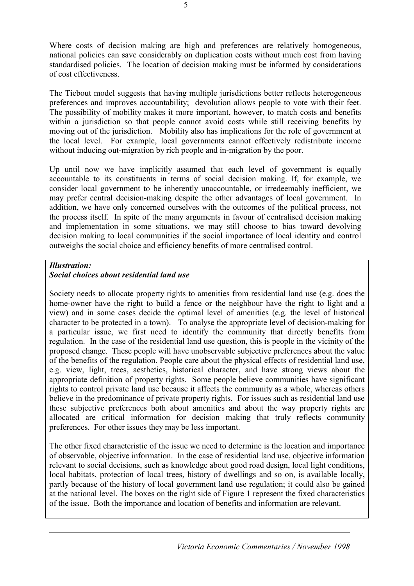Where costs of decision making are high and preferences are relatively homogeneous, national policies can save considerably on duplication costs without much cost from having standardised policies. The location of decision making must be informed by considerations of cost effectiveness.

The Tiebout model suggests that having multiple jurisdictions better reflects heterogeneous preferences and improves accountability; devolution allows people to vote with their feet. The possibility of mobility makes it more important, however, to match costs and benefits within a jurisdiction so that people cannot avoid costs while still receiving benefits by moving out of the jurisdiction. Mobility also has implications for the role of government at the local level. For example, local governments cannot effectively redistribute income without inducing out-migration by rich people and in-migration by the poor.

Up until now we have implicitly assumed that each level of government is equally accountable to its constituents in terms of social decision making. If, for example, we consider local government to be inherently unaccountable, or irredeemably inefficient, we may prefer central decision-making despite the other advantages of local government. In addition, we have only concerned ourselves with the outcomes of the political process, not the process itself. In spite of the many arguments in favour of centralised decision making and implementation in some situations, we may still choose to bias toward devolving decision making to local communities if the social importance of local identity and control outweighs the social choice and efficiency benefits of more centralised control.

#### *Illustration: Social choices about residential land use*

Society needs to allocate property rights to amenities from residential land use (e.g. does the home-owner have the right to build a fence or the neighbour have the right to light and a view) and in some cases decide the optimal level of amenities (e.g. the level of historical character to be protected in a town). To analyse the appropriate level of decision-making for a particular issue, we first need to identify the community that directly benefits from regulation. In the case of the residential land use question, this is people in the vicinity of the proposed change. These people will have unobservable subjective preferences about the value of the benefits of the regulation. People care about the physical effects of residential land use, e.g. view, light, trees, aesthetics, historical character, and have strong views about the appropriate definition of property rights. Some people believe communities have significant rights to control private land use because it affects the community as a whole, whereas others believe in the predominance of private property rights. For issues such as residential land use these subjective preferences both about amenities and about the way property rights are allocated are critical information for decision making that truly reflects community preferences. For other issues they may be less important.

The other fixed characteristic of the issue we need to determine is the location and importance of observable, objective information. In the case of residential land use, objective information relevant to social decisions, such as knowledge about good road design, local light conditions, local habitats, protection of local trees, history of dwellings and so on, is available locally, partly because of the history of local government land use regulation; it could also be gained at the national level. The boxes on the right side of Figure 1 represent the fixed characteristics of the issue. Both the importance and location of benefits and information are relevant.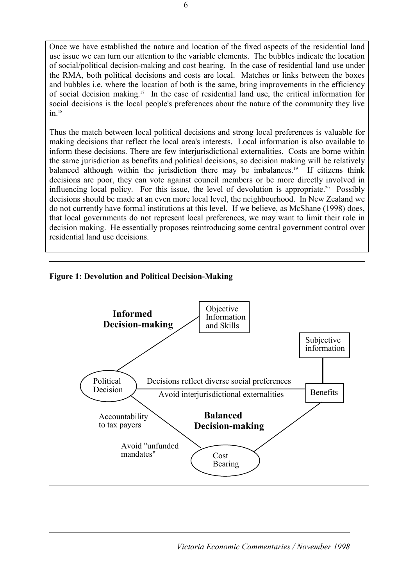Once we have established the nature and location of the fixed aspects of the residential land use issue we can turn our attention to the variable elements. The bubbles indicate the location of social/political decision-making and cost bearing. In the case of residential land use under the RMA, both political decisions and costs are local. Matches or links between the boxes and bubbles i.e. where the location of both is the same, bring improvements in the efficiency of social decision making.17 In the case of residential land use, the critical information for social decisions is the local people's preferences about the nature of the community they live  $in.18$ 

Thus the match between local political decisions and strong local preferences is valuable for making decisions that reflect the local area's interests. Local information is also available to inform these decisions. There are few interjurisdictional externalities. Costs are borne within the same jurisdiction as benefits and political decisions, so decision making will be relatively balanced although within the jurisdiction there may be imbalances.19 If citizens think decisions are poor, they can vote against council members or be more directly involved in influencing local policy. For this issue, the level of devolution is appropriate.20 Possibly decisions should be made at an even more local level, the neighbourhood. In New Zealand we do not currently have formal institutions at this level. If we believe, as McShane (1998) does, that local governments do not represent local preferences, we may want to limit their role in decision making. He essentially proposes reintroducing some central government control over residential land use decisions.

# **Figure 1: Devolution and Political Decision-Making**

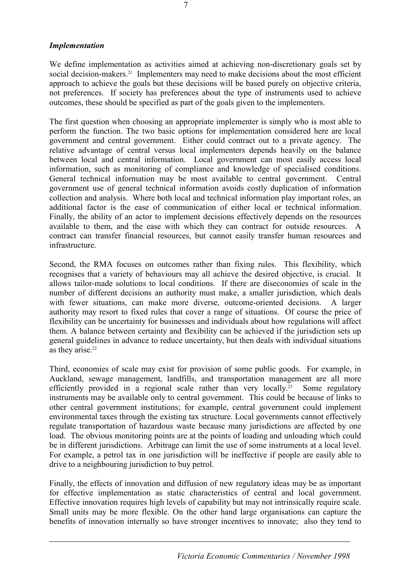#### *Implementation*

We define implementation as activities aimed at achieving non-discretionary goals set by social decision-makers.<sup>21</sup> Implementers may need to make decisions about the most efficient approach to achieve the goals but these decisions will be based purely on objective criteria, not preferences. If society has preferences about the type of instruments used to achieve outcomes, these should be specified as part of the goals given to the implementers.

The first question when choosing an appropriate implementer is simply who is most able to perform the function. The two basic options for implementation considered here are local government and central government. Either could contract out to a private agency. The relative advantage of central versus local implementers depends heavily on the balance between local and central information. Local government can most easily access local information, such as monitoring of compliance and knowledge of specialised conditions. General technical information may be most available to central government. Central government use of general technical information avoids costly duplication of information collection and analysis. Where both local and technical information play important roles, an additional factor is the ease of communication of either local or technical information. Finally, the ability of an actor to implement decisions effectively depends on the resources available to them, and the ease with which they can contract for outside resources. A contract can transfer financial resources, but cannot easily transfer human resources and infrastructure.

Second, the RMA focuses on outcomes rather than fixing rules. This flexibility, which recognises that a variety of behaviours may all achieve the desired objective, is crucial. It allows tailor-made solutions to local conditions. If there are diseconomies of scale in the number of different decisions an authority must make, a smaller jurisdiction, which deals with fewer situations, can make more diverse, outcome-oriented decisions. A larger authority may resort to fixed rules that cover a range of situations. Of course the price of flexibility can be uncertainty for businesses and individuals about how regulations will affect them. A balance between certainty and flexibility can be achieved if the jurisdiction sets up general guidelines in advance to reduce uncertainty, but then deals with individual situations as they arise.<sup>22</sup>

Third, economies of scale may exist for provision of some public goods. For example, in Auckland, sewage management, landfills, and transportation management are all more efficiently provided in a regional scale rather than very locally.<sup>23</sup> Some regulatory instruments may be available only to central government. This could be because of links to other central government institutions; for example, central government could implement environmental taxes through the existing tax structure. Local governments cannot effectively regulate transportation of hazardous waste because many jurisdictions are affected by one load. The obvious monitoring points are at the points of loading and unloading which could be in different jurisdictions. Arbitrage can limit the use of some instruments at a local level. For example, a petrol tax in one jurisdiction will be ineffective if people are easily able to drive to a neighbouring jurisdiction to buy petrol.

Finally, the effects of innovation and diffusion of new regulatory ideas may be as important for effective implementation as static characteristics of central and local government. Effective innovation requires high levels of capability but may not intrinsically require scale. Small units may be more flexible. On the other hand large organisations can capture the benefits of innovation internally so have stronger incentives to innovate; also they tend to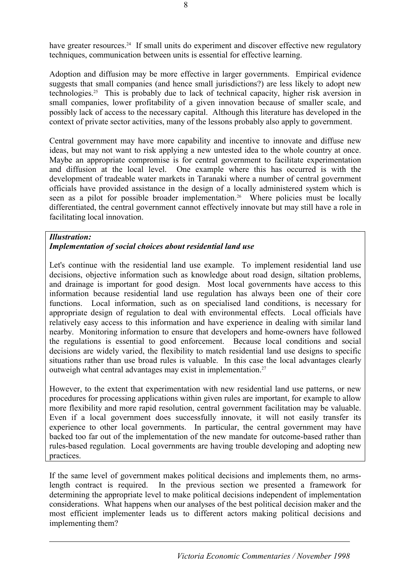have greater resources.<sup>24</sup> If small units do experiment and discover effective new regulatory techniques, communication between units is essential for effective learning.

Adoption and diffusion may be more effective in larger governments. Empirical evidence suggests that small companies (and hence small jurisdictions?) are less likely to adopt new technologies.25 This is probably due to lack of technical capacity, higher risk aversion in small companies, lower profitability of a given innovation because of smaller scale, and possibly lack of access to the necessary capital. Although this literature has developed in the context of private sector activities, many of the lessons probably also apply to government.

Central government may have more capability and incentive to innovate and diffuse new ideas, but may not want to risk applying a new untested idea to the whole country at once. Maybe an appropriate compromise is for central government to facilitate experimentation and diffusion at the local level. One example where this has occurred is with the development of tradeable water markets in Taranaki where a number of central government officials have provided assistance in the design of a locally administered system which is seen as a pilot for possible broader implementation.<sup>26</sup> Where policies must be locally differentiated, the central government cannot effectively innovate but may still have a role in facilitating local innovation.

#### *Illustration:*

#### *Implementation of social choices about residential land use*

Let's continue with the residential land use example. To implement residential land use decisions, objective information such as knowledge about road design, siltation problems, and drainage is important for good design. Most local governments have access to this information because residential land use regulation has always been one of their core functions. Local information, such as on specialised land conditions, is necessary for appropriate design of regulation to deal with environmental effects. Local officials have relatively easy access to this information and have experience in dealing with similar land nearby. Monitoring information to ensure that developers and home-owners have followed the regulations is essential to good enforcement. Because local conditions and social decisions are widely varied, the flexibility to match residential land use designs to specific situations rather than use broad rules is valuable. In this case the local advantages clearly outweigh what central advantages may exist in implementation.27

However, to the extent that experimentation with new residential land use patterns, or new procedures for processing applications within given rules are important, for example to allow more flexibility and more rapid resolution, central government facilitation may be valuable. Even if a local government does successfully innovate, it will not easily transfer its experience to other local governments. In particular, the central government may have backed too far out of the implementation of the new mandate for outcome-based rather than rules-based regulation. Local governments are having trouble developing and adopting new practices.

If the same level of government makes political decisions and implements them, no armslength contract is required. In the previous section we presented a framework for determining the appropriate level to make political decisions independent of implementation considerations. What happens when our analyses of the best political decision maker and the most efficient implementer leads us to different actors making political decisions and implementing them?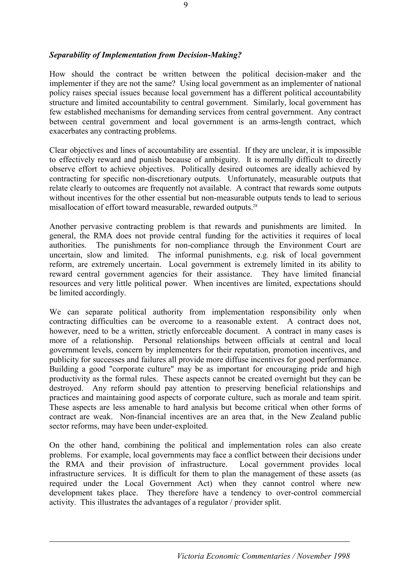#### *Separability of Implementation from Decision-Making?*

How should the contract be written between the political decision-maker and the implementer if they are not the same? Using local government as an implementer of national policy raises special issues because local government has a different political accountability structure and limited accountability to central government. Similarly, local government has few established mechanisms for demanding services from central government. Any contract between central government and local government is an arms-length contract, which exacerbates any contracting problems.

Clear objectives and lines of accountability are essential. If they are unclear, it is impossible to effectively reward and punish because of ambiguity. It is normally difficult to directly observe effort to achieve objectives. Politically desired outcomes are ideally achieved by contracting for specific non-discretionary outputs. Unfortunately, measurable outputs that relate clearly to outcomes are frequently not available. A contract that rewards some outputs without incentives for the other essential but non-measurable outputs tends to lead to serious misallocation of effort toward measurable, rewarded outputs.<sup>28</sup>

Another pervasive contracting problem is that rewards and punishments are limited. In general, the RMA does not provide central funding for the activities it requires of local authorities. The punishments for non-compliance through the Environment Court are uncertain, slow and limited. The informal punishments, e.g. risk of local government reform, are extremely uncertain. Local government is extremely limited in its ability to reward central government agencies for their assistance. They have limited financial resources and very little political power. When incentives are limited, expectations should be limited accordingly.

We can separate political authority from implementation responsibility only when contracting difficulties can be overcome to a reasonable extent. A contract does not, however, need to be a written, strictly enforceable document. A contract in many cases is more of a relationship. Personal relationships between officials at central and local government levels, concern by implementers for their reputation, promotion incentives, and publicity for successes and failures all provide more diffuse incentives for good performance. Building a good "corporate culture" may be as important for encouraging pride and high productivity as the formal rules. These aspects cannot be created overnight but they can be destroyed. Any reform should pay attention to preserving beneficial relationships and practices and maintaining good aspects of corporate culture, such as morale and team spirit. These aspects are less amenable to hard analysis but become critical when other forms of contract are weak. Non-financial incentives are an area that, in the New Zealand public sector reforms, may have been under-exploited.

On the other hand, combining the political and implementation roles can also create problems. For example, local governments may face a conflict between their decisions under the RMA and their provision of infrastructure. Local government provides local infrastructure services. It is difficult for them to plan the management of these assets (as required under the Local Government Act) when they cannot control where new development takes place. They therefore have a tendency to over-control commercial activity. This illustrates the advantages of a regulator / provider split.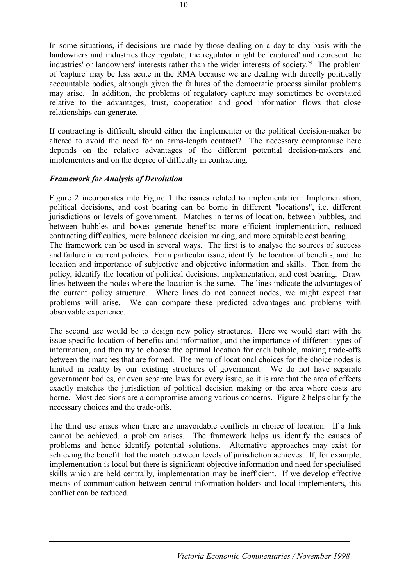In some situations, if decisions are made by those dealing on a day to day basis with the landowners and industries they regulate, the regulator might be 'captured' and represent the industries' or landowners' interests rather than the wider interests of society.29 The problem of 'capture' may be less acute in the RMA because we are dealing with directly politically accountable bodies, although given the failures of the democratic process similar problems may arise. In addition, the problems of regulatory capture may sometimes be overstated relative to the advantages, trust, cooperation and good information flows that close relationships can generate.

If contracting is difficult, should either the implementer or the political decision-maker be altered to avoid the need for an arms-length contract? The necessary compromise here depends on the relative advantages of the different potential decision-makers and implementers and on the degree of difficulty in contracting.

#### *Framework for Analysis of Devolution*

Figure 2 incorporates into Figure 1 the issues related to implementation. Implementation, political decisions, and cost bearing can be borne in different "locations", i.e. different jurisdictions or levels of government. Matches in terms of location, between bubbles, and between bubbles and boxes generate benefits: more efficient implementation, reduced contracting difficulties, more balanced decision making, and more equitable cost bearing. The framework can be used in several ways. The first is to analyse the sources of success and failure in current policies. For a particular issue, identify the location of benefits, and the location and importance of subjective and objective information and skills. Then from the policy, identify the location of political decisions, implementation, and cost bearing. Draw lines between the nodes where the location is the same. The lines indicate the advantages of the current policy structure. Where lines do not connect nodes, we might expect that problems will arise. We can compare these predicted advantages and problems with observable experience.

The second use would be to design new policy structures. Here we would start with the issue-specific location of benefits and information, and the importance of different types of information, and then try to choose the optimal location for each bubble, making trade-offs between the matches that are formed. The menu of locational choices for the choice nodes is limited in reality by our existing structures of government. We do not have separate government bodies, or even separate laws for every issue, so it is rare that the area of effects exactly matches the jurisdiction of political decision making or the area where costs are borne. Most decisions are a compromise among various concerns. Figure 2 helps clarify the necessary choices and the trade-offs.

The third use arises when there are unavoidable conflicts in choice of location. If a link cannot be achieved, a problem arises. The framework helps us identify the causes of problems and hence identify potential solutions. Alternative approaches may exist for achieving the benefit that the match between levels of jurisdiction achieves. If, for example, implementation is local but there is significant objective information and need for specialised skills which are held centrally, implementation may be inefficient. If we develop effective means of communication between central information holders and local implementers, this conflict can be reduced.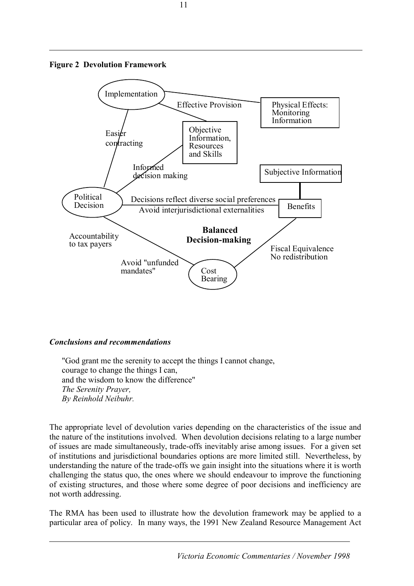



#### *Conclusions and recommendations*

 "God grant me the serenity to accept the things I cannot change, courage to change the things I can, and the wisdom to know the difference" *The Serenity Prayer, By Reinhold Neibuhr.* 

The appropriate level of devolution varies depending on the characteristics of the issue and the nature of the institutions involved. When devolution decisions relating to a large number of issues are made simultaneously, trade-offs inevitably arise among issues. For a given set of institutions and jurisdictional boundaries options are more limited still. Nevertheless, by understanding the nature of the trade-offs we gain insight into the situations where it is worth challenging the status quo, the ones where we should endeavour to improve the functioning of existing structures, and those where some degree of poor decisions and inefficiency are not worth addressing.

The RMA has been used to illustrate how the devolution framework may be applied to a particular area of policy. In many ways, the 1991 New Zealand Resource Management Act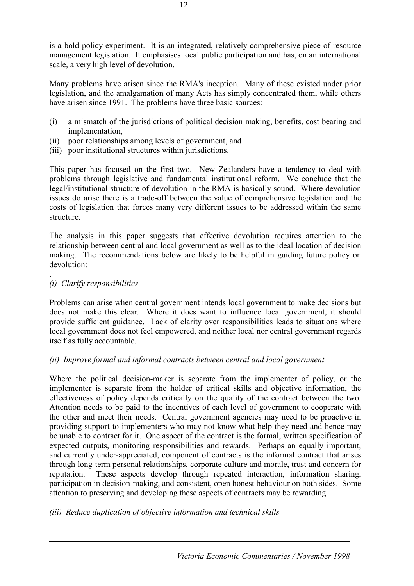is a bold policy experiment. It is an integrated, relatively comprehensive piece of resource management legislation. It emphasises local public participation and has, on an international scale, a very high level of devolution.

Many problems have arisen since the RMA's inception. Many of these existed under prior legislation, and the amalgamation of many Acts has simply concentrated them, while others have arisen since 1991. The problems have three basic sources:

- (i) a mismatch of the jurisdictions of political decision making, benefits, cost bearing and implementation,
- (ii) poor relationships among levels of government, and
- (iii) poor institutional structures within jurisdictions.

This paper has focused on the first two. New Zealanders have a tendency to deal with problems through legislative and fundamental institutional reform. We conclude that the legal/institutional structure of devolution in the RMA is basically sound. Where devolution issues do arise there is a trade-off between the value of comprehensive legislation and the costs of legislation that forces many very different issues to be addressed within the same structure.

The analysis in this paper suggests that effective devolution requires attention to the relationship between central and local government as well as to the ideal location of decision making. The recommendations below are likely to be helpful in guiding future policy on devolution:

#### *(i) Clarify responsibilities*

.

Problems can arise when central government intends local government to make decisions but does not make this clear. Where it does want to influence local government, it should provide sufficient guidance. Lack of clarity over responsibilities leads to situations where local government does not feel empowered, and neither local nor central government regards itself as fully accountable.

#### *(ii) Improve formal and informal contracts between central and local government.*

Where the political decision-maker is separate from the implementer of policy, or the implementer is separate from the holder of critical skills and objective information, the effectiveness of policy depends critically on the quality of the contract between the two. Attention needs to be paid to the incentives of each level of government to cooperate with the other and meet their needs. Central government agencies may need to be proactive in providing support to implementers who may not know what help they need and hence may be unable to contract for it. One aspect of the contract is the formal, written specification of expected outputs, monitoring responsibilities and rewards. Perhaps an equally important, and currently under-appreciated, component of contracts is the informal contract that arises through long-term personal relationships, corporate culture and morale, trust and concern for reputation. These aspects develop through repeated interaction, information sharing, participation in decision-making, and consistent, open honest behaviour on both sides. Some attention to preserving and developing these aspects of contracts may be rewarding.

#### *(iii) Reduce duplication of objective information and technical skills*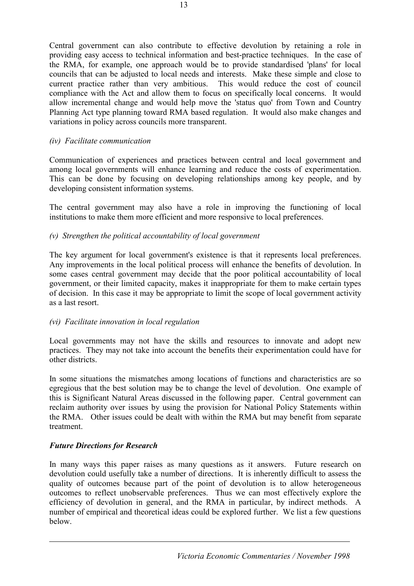Central government can also contribute to effective devolution by retaining a role in providing easy access to technical information and best-practice techniques. In the case of the RMA, for example, one approach would be to provide standardised 'plans' for local councils that can be adjusted to local needs and interests. Make these simple and close to current practice rather than very ambitious. This would reduce the cost of council compliance with the Act and allow them to focus on specifically local concerns. It would allow incremental change and would help move the 'status quo' from Town and Country Planning Act type planning toward RMA based regulation. It would also make changes and variations in policy across councils more transparent.

#### *(iv) Facilitate communication*

Communication of experiences and practices between central and local government and among local governments will enhance learning and reduce the costs of experimentation. This can be done by focusing on developing relationships among key people, and by developing consistent information systems.

The central government may also have a role in improving the functioning of local institutions to make them more efficient and more responsive to local preferences.

#### *(v) Strengthen the political accountability of local government*

The key argument for local government's existence is that it represents local preferences. Any improvements in the local political process will enhance the benefits of devolution. In some cases central government may decide that the poor political accountability of local government, or their limited capacity, makes it inappropriate for them to make certain types of decision. In this case it may be appropriate to limit the scope of local government activity as a last resort.

#### *(vi) Facilitate innovation in local regulation*

Local governments may not have the skills and resources to innovate and adopt new practices. They may not take into account the benefits their experimentation could have for other districts.

In some situations the mismatches among locations of functions and characteristics are so egregious that the best solution may be to change the level of devolution. One example of this is Significant Natural Areas discussed in the following paper. Central government can reclaim authority over issues by using the provision for National Policy Statements within the RMA. Other issues could be dealt with within the RMA but may benefit from separate treatment.

#### *Future Directions for Research*

In many ways this paper raises as many questions as it answers. Future research on devolution could usefully take a number of directions. It is inherently difficult to assess the quality of outcomes because part of the point of devolution is to allow heterogeneous outcomes to reflect unobservable preferences. Thus we can most effectively explore the efficiency of devolution in general, and the RMA in particular, by indirect methods. A number of empirical and theoretical ideas could be explored further. We list a few questions below.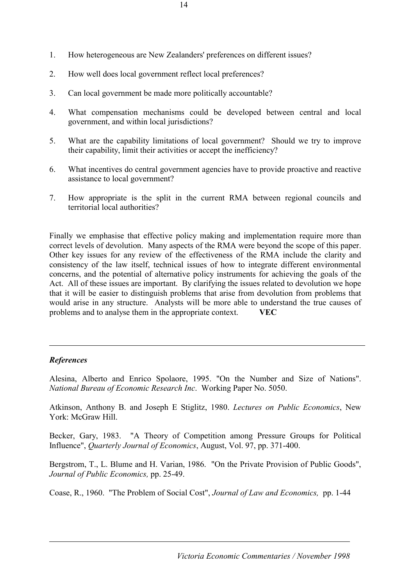- 1. How heterogeneous are New Zealanders' preferences on different issues?
- 2. How well does local government reflect local preferences?
- 3. Can local government be made more politically accountable?
- 4. What compensation mechanisms could be developed between central and local government, and within local jurisdictions?
- 5. What are the capability limitations of local government? Should we try to improve their capability, limit their activities or accept the inefficiency?
- 6. What incentives do central government agencies have to provide proactive and reactive assistance to local government?
- 7. How appropriate is the split in the current RMA between regional councils and territorial local authorities?

Finally we emphasise that effective policy making and implementation require more than correct levels of devolution. Many aspects of the RMA were beyond the scope of this paper. Other key issues for any review of the effectiveness of the RMA include the clarity and consistency of the law itself, technical issues of how to integrate different environmental concerns, and the potential of alternative policy instruments for achieving the goals of the Act. All of these issues are important. By clarifying the issues related to devolution we hope that it will be easier to distinguish problems that arise from devolution from problems that would arise in any structure. Analysts will be more able to understand the true causes of problems and to analyse them in the appropriate context. **VEC**

# *References*

Alesina, Alberto and Enrico Spolaore, 1995. "On the Number and Size of Nations". *National Bureau of Economic Research Inc*. Working Paper No. 5050.

Atkinson, Anthony B. and Joseph E Stiglitz, 1980. *Lectures on Public Economics*, New York: McGraw Hill.

Becker, Gary, 1983. "A Theory of Competition among Pressure Groups for Political Influence", *Quarterly Journal of Economics*, August, Vol. 97, pp. 371-400.

Bergstrom, T., L. Blume and H. Varian, 1986. "On the Private Provision of Public Goods", *Journal of Public Economics,* pp. 25-49.

Coase, R., 1960. "The Problem of Social Cost", *Journal of Law and Economics,* pp. 1-44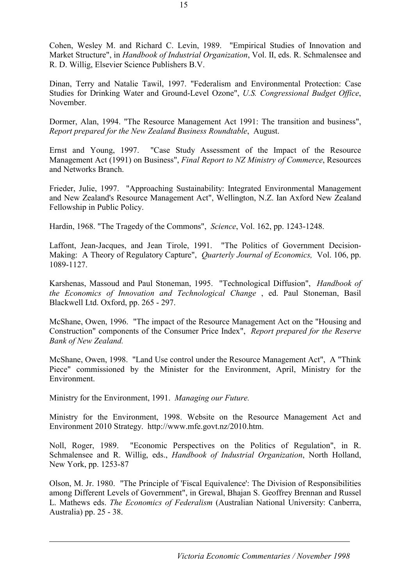Cohen, Wesley M. and Richard C. Levin, 1989. "Empirical Studies of Innovation and Market Structure", in *Handbook of Industrial Organization*, Vol. II, eds. R. Schmalensee and R. D. Willig, Elsevier Science Publishers B.V.

Dinan, Terry and Natalie Tawil, 1997. "Federalism and Environmental Protection: Case Studies for Drinking Water and Ground-Level Ozone", *U.S. Congressional Budget Office*, November.

Dormer, Alan, 1994. "The Resource Management Act 1991: The transition and business", *Report prepared for the New Zealand Business Roundtable*, August.

Ernst and Young, 1997. "Case Study Assessment of the Impact of the Resource Management Act (1991) on Business", *Final Report to NZ Ministry of Commerce*, Resources and Networks Branch.

Frieder, Julie, 1997. "Approaching Sustainability: Integrated Environmental Management and New Zealand's Resource Management Act", Wellington, N.Z. Ian Axford New Zealand Fellowship in Public Policy.

Hardin, 1968. "The Tragedy of the Commons", *Science*, Vol. 162, pp. 1243-1248.

Laffont, Jean-Jacques, and Jean Tirole, 1991. "The Politics of Government Decision-Making: A Theory of Regulatory Capture", *Quarterly Journal of Economics,* Vol. 106, pp. 1089-1127.

Karshenas, Massoud and Paul Stoneman, 1995. "Technological Diffusion", *Handbook of the Economics of Innovation and Technological Change* , ed. Paul Stoneman, Basil Blackwell Ltd. Oxford, pp. 265 - 297.

McShane, Owen, 1996. "The impact of the Resource Management Act on the "Housing and Construction" components of the Consumer Price Index", *Report prepared for the Reserve Bank of New Zealand.* 

McShane, Owen, 1998. "Land Use control under the Resource Management Act", A "Think Piece" commissioned by the Minister for the Environment, April, Ministry for the Environment.

Ministry for the Environment, 1991. *Managing our Future.* 

Ministry for the Environment, 1998. Website on the Resource Management Act and Environment 2010 Strategy. http://www.mfe.govt.nz/2010.htm.

Noll, Roger, 1989. "Economic Perspectives on the Politics of Regulation", in R. Schmalensee and R. Willig, eds., *Handbook of Industrial Organization*, North Holland, New York, pp. 1253-87

Olson, M. Jr. 1980. "The Principle of 'Fiscal Equivalence': The Division of Responsibilities among Different Levels of Government", in Grewal, Bhajan S. Geoffrey Brennan and Russel L. Mathews eds. *The Economics of Federalism* (Australian National University: Canberra, Australia) pp. 25 - 38.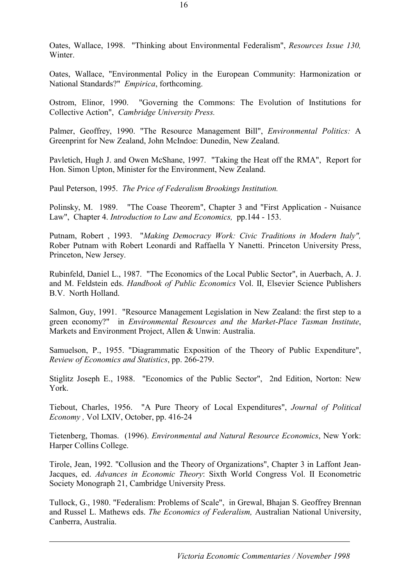Oates, Wallace, 1998. "Thinking about Environmental Federalism", *Resources Issue 130,*  Winter.

Oates, Wallace, "Environmental Policy in the European Community: Harmonization or National Standards?" *Empirica*, forthcoming.

Ostrom, Elinor, 1990. "Governing the Commons: The Evolution of Institutions for Collective Action", *Cambridge University Press.* 

Palmer, Geoffrey, 1990. "The Resource Management Bill", *Environmental Politics:* A Greenprint for New Zealand, John McIndoe: Dunedin, New Zealand.

Pavletich, Hugh J. and Owen McShane, 1997. "Taking the Heat off the RMA", Report for Hon. Simon Upton, Minister for the Environment, New Zealand.

Paul Peterson, 1995. *The Price of Federalism Brookings Institution.* 

Polinsky, M. 1989. "The Coase Theorem", Chapter 3 and "First Application - Nuisance Law", Chapter 4. *Introduction to Law and Economics,* pp.144 - 153.

Putnam, Robert , 1993. "*Making Democracy Work: Civic Traditions in Modern Italy",*  Rober Putnam with Robert Leonardi and Raffaella Y Nanetti. Princeton University Press, Princeton, New Jersey.

Rubinfeld, Daniel L., 1987. "The Economics of the Local Public Sector", in Auerbach, A. J. and M. Feldstein eds. *Handbook of Public Economics* Vol. II, Elsevier Science Publishers B.V. North Holland.

Salmon, Guy, 1991. "Resource Management Legislation in New Zealand: the first step to a green economy?" in *Environmental Resources and the Market-Place Tasman Institute*, Markets and Environment Project, Allen & Unwin: Australia.

Samuelson, P., 1955. "Diagrammatic Exposition of the Theory of Public Expenditure", *Review of Economics and Statistics*, pp. 266-279.

Stiglitz Joseph E., 1988. "Economics of the Public Sector", 2nd Edition, Norton: New York.

Tiebout, Charles, 1956. "A Pure Theory of Local Expenditures", *Journal of Political Economy ,* Vol LXIV, October, pp. 416-24

Tietenberg, Thomas. (1996). *Environmental and Natural Resource Economics*, New York: Harper Collins College.

Tirole, Jean, 1992. "Collusion and the Theory of Organizations", Chapter 3 in Laffont Jean-Jacques, ed. *Advances in Economic Theory*: Sixth World Congress Vol. II Econometric Society Monograph 21, Cambridge University Press.

Tullock, G., 1980. "Federalism: Problems of Scale", in Grewal, Bhajan S. Geoffrey Brennan and Russel L. Mathews eds. *The Economics of Federalism,* Australian National University, Canberra, Australia.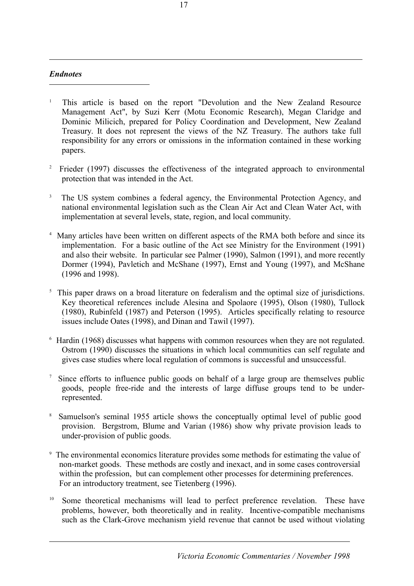# *Endnotes*

l

- 1 This article is based on the report "Devolution and the New Zealand Resource Management Act", by Suzi Kerr (Motu Economic Research), Megan Claridge and Dominic Milicich, prepared for Policy Coordination and Development, New Zealand Treasury. It does not represent the views of the NZ Treasury. The authors take full responsibility for any errors or omissions in the information contained in these working papers.
- 2 Frieder (1997) discusses the effectiveness of the integrated approach to environmental protection that was intended in the Act.
- 3 The US system combines a federal agency, the Environmental Protection Agency, and national environmental legislation such as the Clean Air Act and Clean Water Act, with implementation at several levels, state, region, and local community.
- <sup>4</sup> Many articles have been written on different aspects of the RMA both before and since its implementation. For a basic outline of the Act see Ministry for the Environment (1991) and also their website. In particular see Palmer (1990), Salmon (1991), and more recently Dormer (1994), Pavletich and McShane (1997), Ernst and Young (1997), and McShane (1996 and 1998).
- <sup>5</sup> This paper draws on a broad literature on federalism and the optimal size of jurisdictions. Key theoretical references include Alesina and Spolaore (1995), Olson (1980), Tullock (1980), Rubinfeld (1987) and Peterson (1995). Articles specifically relating to resource issues include Oates (1998), and Dinan and Tawil (1997).
- <sup>6</sup> Hardin (1968) discusses what happens with common resources when they are not regulated. Ostrom (1990) discusses the situations in which local communities can self regulate and gives case studies where local regulation of commons is successful and unsuccessful.
- <sup>7</sup> Since efforts to influence public goods on behalf of a large group are themselves public goods, people free-ride and the interests of large diffuse groups tend to be underrepresented.
- 8 Samuelson's seminal 1955 article shows the conceptually optimal level of public good provision. Bergstrom, Blume and Varian (1986) show why private provision leads to under-provision of public goods.
- 9 The environmental economics literature provides some methods for estimating the value of non-market goods. These methods are costly and inexact, and in some cases controversial within the profession, but can complement other processes for determining preferences. For an introductory treatment, see Tietenberg (1996).
- <sup>10</sup> Some theoretical mechanisms will lead to perfect preference revelation. These have problems, however, both theoretically and in reality. Incentive-compatible mechanisms such as the Clark-Grove mechanism yield revenue that cannot be used without violating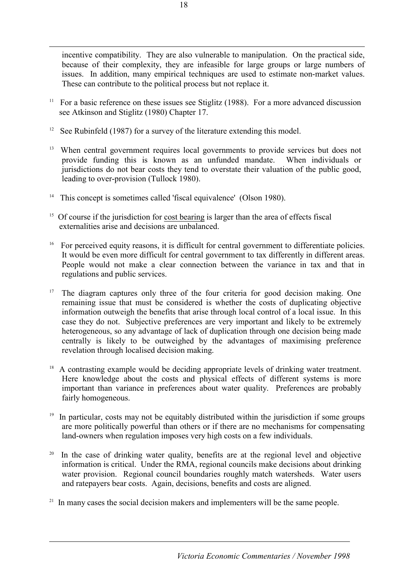incentive compatibility. They are also vulnerable to manipulation. On the practical side, because of their complexity, they are infeasible for large groups or large numbers of issues. In addition, many empirical techniques are used to estimate non-market values. These can contribute to the political process but not replace it.

- <sup>11</sup> For a basic reference on these issues see Stiglitz (1988). For a more advanced discussion see Atkinson and Stiglitz (1980) Chapter 17.
- <sup>12</sup> See Rubinfeld (1987) for a survey of the literature extending this model.
- <sup>13</sup> When central government requires local governments to provide services but does not provide funding this is known as an unfunded mandate. When individuals or jurisdictions do not bear costs they tend to overstate their valuation of the public good, leading to over-provision (Tullock 1980).
- <sup>14</sup> This concept is sometimes called 'fiscal equivalence' (Olson 1980).
- <sup>15</sup> Of course if the jurisdiction for cost bearing is larger than the area of effects fiscal externalities arise and decisions are unbalanced.
- <sup>16</sup> For perceived equity reasons, it is difficult for central government to differentiate policies. It would be even more difficult for central government to tax differently in different areas. People would not make a clear connection between the variance in tax and that in regulations and public services.
- <sup>17</sup> The diagram captures only three of the four criteria for good decision making. One remaining issue that must be considered is whether the costs of duplicating objective information outweigh the benefits that arise through local control of a local issue. In this case they do not. Subjective preferences are very important and likely to be extremely heterogeneous, so any advantage of lack of duplication through one decision being made centrally is likely to be outweighed by the advantages of maximising preference revelation through localised decision making.
- <sup>18</sup> A contrasting example would be deciding appropriate levels of drinking water treatment. Here knowledge about the costs and physical effects of different systems is more important than variance in preferences about water quality. Preferences are probably fairly homogeneous.
- <sup>19</sup> In particular, costs may not be equitably distributed within the jurisdiction if some groups are more politically powerful than others or if there are no mechanisms for compensating land-owners when regulation imposes very high costs on a few individuals.
- <sup>20</sup> In the case of drinking water quality, benefits are at the regional level and objective information is critical. Under the RMA, regional councils make decisions about drinking water provision. Regional council boundaries roughly match watersheds. Water users and ratepayers bear costs. Again, decisions, benefits and costs are aligned.
- $21$  In many cases the social decision makers and implementers will be the same people.

l